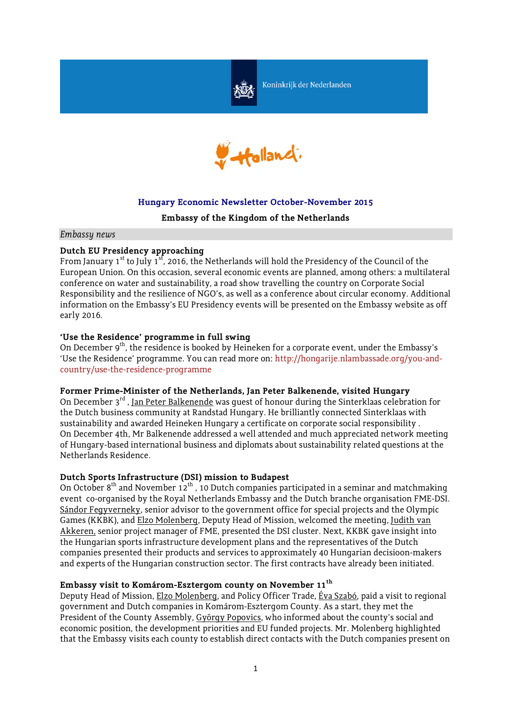

Koninkrijk der Nederlanden



# **Hungary Economic Newsletter October-November 2015**

#### **Embassy of the Kingdom of the Netherlands**

*Embassy news*

## **Dutch EU Presidency approaching**

From January  $1^{st}$  to July  $1^{st}$ , 2016, the Netherlands will hold the Presidency of the Council of the European Union. On this occasion, several economic events are planned, among others: a multilateral conference on water and sustainability, a road show travelling the country on Corporate Social Responsibility and the resilience of NGO's, as well as a conference about circular economy. Additional information on the Embassy's EU Presidency events will be presented on the Embassy website as off early 2016.

#### **'Use the Residence' programme in full swing**

On December 9<sup>th</sup>, the residence is booked by Heineken for a corporate event, under the Embassy's 'Use the Residence' programme. You can read more on: http://hongarije.nlambassade.org/you-andcountry/use-the-residence-programme

#### **Former Prime-Minister of the Netherlands, Jan Peter Balkenende, visited Hungary**

On December 3<sup>rd</sup>, Jan Peter Balkenende was quest of honour during the Sinterklaas celebration for the Dutch business community at Randstad Hungary. He brilliantly connected Sinterklaas with sustainability and awarded Heineken Hungary a certificate on corporate social responsibility . On December 4th, Mr Balkenende addressed a well attended and much appreciated network meeting of Hungary-based international business and diplomats about sustainability related questions at the Netherlands Residence.

#### **Dutch Sports Infrastructure (DSI) mission to Budapest**

On October  $8<sup>th</sup>$  and November 12<sup>th</sup>, 10 Dutch companies participated in a seminar and matchmaking event co-organised by the Royal Netherlands Embassy and the Dutch branche organisation FME-DSI. Sándor Fegyverneky, senior advisor to the government office for special projects and the Olympic Games (KKBK), and Elzo Molenberg, Deputy Head of Mission, welcomed the meeting, Judith van Akkeren, senior project manager of FME, presented the DSI cluster. Next, KKBK gave insight into the Hungarian sports infrastructure development plans and the representatives of the Dutch companies presented their products and services to approximately 40 Hungarian decisioon-makers and experts of the Hungarian construction sector. The first contracts have already been initiated.

#### **Embassy visit to Komárom-Esztergom county on November 11th**

Deputy Head of Mission, Elzo Molenberg, and Policy Officer Trade, Éva Szabó, paid a visit to regional government and Dutch companies in Komárom-Esztergom County. As a start, they met the President of the County Assembly, György Popovics, who informed about the county's social and economic position, the development priorities and EU funded projects. Mr. Molenberg highlighted that the Embassy visits each county to establish direct contacts with the Dutch companies present on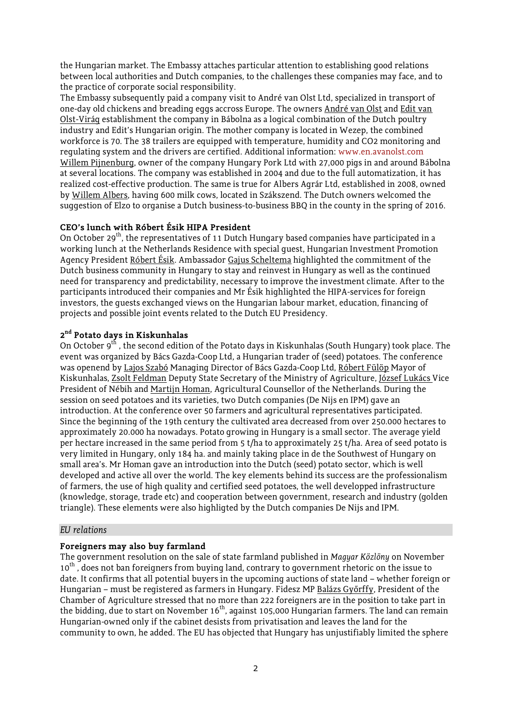the Hungarian market. The Embassy attaches particular attention to establishing good relations between local authorities and Dutch companies, to the challenges these companies may face, and to the practice of corporate social responsibility.

The Embassy subsequently paid a company visit to André van Olst Ltd, specialized in transport of one-day old chickens and breading eggs accross Europe. The owners André van Olst and Edit van Olst-Virág establishment the company in Bábolna as a logical combination of the Dutch poultry industry and Edit's Hungarian origin. The mother company is located in Wezep, the combined workforce is 70. The 38 trailers are equipped with temperature, humidity and CO2 monitoring and regulating system and the drivers are certified. Additional information: www.en.avanolst.com Willem Pijnenburg, owner of the company Hungary Pork Ltd with 27,000 pigs in and around Bábolna at several locations. The company was established in 2004 and due to the full automatization, it has realized cost-effective production. The same is true for Albers Agrár Ltd, established in 2008, owned by Willem Albers, having 600 milk cows, located in Szákszend. The Dutch owners welcomed the suggestion of Elzo to organise a Dutch business-to-business BBQ in the county in the spring of 2016.

#### **CEO's lunch with Róbert Ésik HIPA President**

On October 29<sup>th</sup>, the representatives of 11 Dutch Hungary based companies have participated in a working lunch at the Netherlands Residence with special guest, Hungarian Investment Promotion Agency President Róbert Ésik. Ambassador Gajus Scheltema highlighted the commitment of the Dutch business community in Hungary to stay and reinvest in Hungary as well as the continued need for transparency and predictability, necessary to improve the investment climate. After to the participants introduced their companies and Mr Ésik highlighted the HIPA-services for foreign investors, the guests exchanged views on the Hungarian labour market, education, financing of projects and possible joint events related to the Dutch EU Presidency.

## **2 nd Potato days in Kiskunhalas**

On October 9<sup>th</sup>, the second edition of the Potato days in Kiskunhalas (South Hungary) took place. The event was organized by Bács Gazda-Coop Ltd, a Hungarian trader of (seed) potatoes. The conference was openend by Lajos Szabó Managing Director of Bács Gazda-Coop Ltd, Róbert Fülöp Mayor of Kiskunhalas, Zsolt Feldman Deputy State Secretary of the Ministry of Agriculture, József Lukács Vice President of Nébih and Martijn Homan, Agricultural Counsellor of the Netherlands. During the session on seed potatoes and its varieties, two Dutch companies (De Nijs en IPM) gave an introduction. At the conference over 50 farmers and agricultural representatives participated. Since the beginning of the 19th century the cultivated area decreased from over 250.000 hectares to approximately 20.000 ha nowadays. Potato growing in Hungary is a small sector. The average yield per hectare increased in the same period from 5 t/ha to approximately 25 t/ha. Area of seed potato is very limited in Hungary, only 184 ha. and mainly taking place in de the Southwest of Hungary on small area's. Mr Homan gave an introduction into the Dutch (seed) potato sector, which is well developed and active all over the world. The key elements behind its success are the professionalism of farmers, the use of high quality and certified seed potatoes, the well developped infrastructure (knowledge, storage, trade etc) and cooperation between government, research and industry (golden triangle). These elements were also highligted by the Dutch companies De Nijs and IPM.

#### *EU relations*

#### **Foreigners may also buy farmland**

The government resolution on the sale of state farmland published in *Magyar Közlöny* on November  $10^{th}$ , does not ban foreigners from buying land, contrary to government rhetoric on the issue to date. It confirms that all potential buyers in the upcoming auctions of state land – whether foreign or Hungarian – must be registered as farmers in Hungary. Fidesz MP Balázs Győrffy, President of the Chamber of Agriculture stressed that no more than 222 foreigners are in the position to take part in the bidding, due to start on November 16<sup>th</sup>, against 105,000 Hungarian farmers. The land can remain Hungarian-owned only if the cabinet desists from privatisation and leaves the land for the community to own, he added. The EU has objected that Hungary has unjustifiably limited the sphere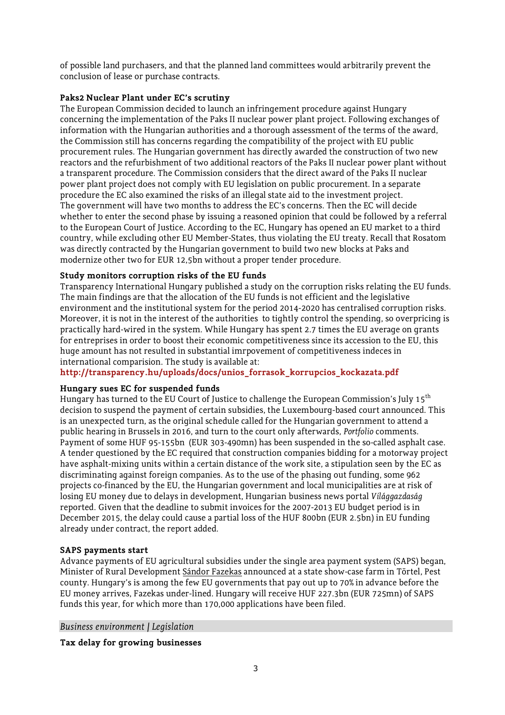of possible land purchasers, and that the planned land committees would arbitrarily prevent the conclusion of lease or purchase contracts.

# **Paks2 Nuclear Plant under EC's scrutiny**

The European Commission decided to launch an infringement procedure against Hungary concerning the implementation of the Paks II nuclear power plant project. Following exchanges of information with the Hungarian authorities and a thorough assessment of the terms of the award, the Commission still has concerns regarding the compatibility of the project with EU public procurement rules. The Hungarian government has directly awarded the construction of two new reactors and the refurbishment of two additional reactors of the Paks II nuclear power plant without a transparent procedure. The Commission considers that the direct award of the Paks II nuclear power plant project does not comply with EU legislation on public procurement. In a separate procedure the EC also examined the risks of an illegal state aid to the investment project. The government will have two months to address the EC's concerns. Then the EC will decide whether to enter the second phase by issuing a reasoned opinion that could be followed by a referral to the European Court of Justice. According to the EC, Hungary has opened an EU market to a third country, while excluding other EU Member-States, thus violating the EU treaty. Recall that Rosatom was directly contracted by the Hungarian government to build two new blocks at Paks and modernize other two for EUR 12,5bn without a proper tender procedure.

# **Study monitors corruption risks of the EU funds**

Transparency International Hungary published a study on the corruption risks relating the EU funds. The main findings are that the allocation of the EU funds is not efficient and the legislative environment and the institutional system for the period 2014-2020 has centralised corruption risks. Moreover, it is not in the interest of the authorities to tightly control the spending, so overpricing is practically hard-wired in the system. While Hungary has spent 2.7 times the EU average on grants for entreprises in order to boost their economic competitiveness since its accession to the EU, this huge amount has not resulted in substantial imrpovement of competitiveness indeces in international comparision. The study is available at:

**http://transparency.hu/uploads/docs/unios\_forrasok\_korrupcios\_kockazata.pdf**

## **Hungary sues EC for suspended funds**

Hungary has turned to the EU Court of Justice to challenge the European Commission's July 15<sup>th</sup> decision to suspend the payment of certain subsidies, the Luxembourg-based court announced. This is an unexpected turn, as the original schedule called for the Hungarian government to attend a public hearing in Brussels in 2016, and turn to the court only afterwards, *Portfolio* comments. Payment of some HUF 95-155bn (EUR 303-490mn) has been suspended in the so-called asphalt case. A tender questioned by the EC required that construction companies bidding for a motorway project have asphalt-mixing units within a certain distance of the work site, a stipulation seen by the EC as discriminating against foreign companies. As to the use of the phasing out funding, some 962 projects co-financed by the EU, the Hungarian government and local municipalities are at risk of losing EU money due to delays in development, Hungarian business news portal *Világgazdaság* reported. Given that the deadline to submit invoices for the 2007-2013 EU budget period is in December 2015, the delay could cause a partial loss of the HUF 800bn (EUR 2.5bn) in EU funding already under contract, the report added.

## **SAPS payments start**

Advance payments of EU agricultural subsidies under the single area payment system (SAPS) began, Minister of Rural Development Sándor Fazekas announced at a state show-case farm in Törtel, Pest county. Hungary's is among the few EU governments that pay out up to 70% in advance before the EU money arrives, Fazekas under-lined. Hungary will receive HUF 227.3bn (EUR 725mn) of SAPS funds this year, for which more than 170,000 applications have been filed.

*Business environment / Legislation*

**Tax delay for growing businesses**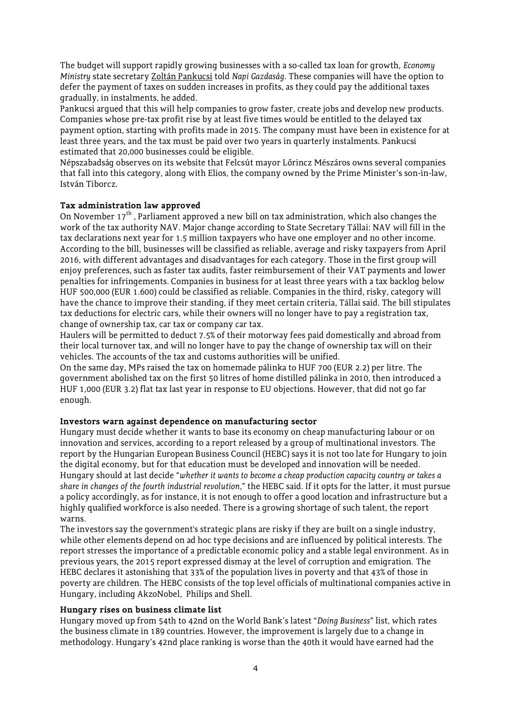The budget will support rapidly growing businesses with a so-called tax loan for growth, *Economy Ministry* state secretary Zoltán Pankucsi told *Napi Gazdaság*. These companies will have the option to defer the payment of taxes on sudden increases in profits, as they could pay the additional taxes gradually, in instalments, he added.

Pankucsi argued that this will help companies to grow faster, create jobs and develop new products. Companies whose pre-tax profit rise by at least five times would be entitled to the delayed tax payment option, starting with profits made in 2015. The company must have been in existence for at least three years, and the tax must be paid over two years in quarterly instalments. Pankucsi estimated that 20,000 businesses could be eligible.

Népszabadság observes on its website that Felcsút mayor Lőrincz Mészáros owns several companies that fall into this category, along with Elios, the company owned by the Prime Minister's son-in-law, István Tiborcz.

## **Tax administration law approved**

On November  $17<sup>th</sup>$ , Parliament approved a new bill on tax administration, which also changes the work of the tax authority NAV. Major change according to State Secretary Tállai: NAV will fill in the tax declarations next year for 1.5 million taxpayers who have one employer and no other income. According to the bill, businesses will be classified as reliable, average and risky taxpayers from April 2016, with different advantages and disadvantages for each category. Those in the first group will enjoy preferences, such as faster tax audits, faster reimbursement of their VAT payments and lower penalties for infringements. Companies in business for at least three years with a tax backlog below HUF 500,000 (EUR 1.600) could be classified as reliable. Companies in the third, risky, category will have the chance to improve their standing, if they meet certain criteria, Tállai said. The bill stipulates tax deductions for electric cars, while their owners will no longer have to pay a registration tax, change of ownership tax, car tax or company car tax.

Haulers will be permitted to deduct 7.5% of their motorway fees paid domestically and abroad from their local turnover tax, and will no longer have to pay the change of ownership tax will on their vehicles. The accounts of the tax and customs authorities will be unified.

On the same day, MPs raised the tax on homemade pálinka to HUF 700 (EUR 2.2) per litre. The government abolished tax on the first 50 litres of home distilled pálinka in 2010, then introduced a HUF 1,000 (EUR 3.2) flat tax last year in response to EU objections. However, that did not go far enough.

#### **Investors warn against dependence on manufacturing sector**

Hungary must decide whether it wants to base its economy on cheap manufacturing labour or on innovation and services, according to a report released by a group of multinational investors. The report by the Hungarian European Business Council (HEBC) says it is not too late for Hungary to join the digital economy, but for that education must be developed and innovation will be needed. Hungary should at last decide "*whether it wants to become a cheap production capacity country or takes a share in changes of the fourth industrial revolution*," the HEBC said. If it opts for the latter, it must pursue a policy accordingly, as for instance, it is not enough to offer a good location and infrastructure but a highly qualified workforce is also needed. There is a growing shortage of such talent, the report warns.

The investors say the government's strategic plans are risky if they are built on a single industry, while other elements depend on ad hoc type decisions and are influenced by political interests. The report stresses the importance of a predictable economic policy and a stable legal environment. As in previous years, the 2015 report expressed dismay at the level of corruption and emigration. The HEBC declares it astonishing that 33% of the population lives in poverty and that 43% of those in poverty are children. The HEBC consists of the top level officials of multinational companies active in Hungary, including AkzoNobel, Philips and Shell.

#### **Hungary rises on business climate list**

Hungary moved up from 54th to 42nd on the World Bank's latest "*Doing Business*" list, which rates the business climate in 189 countries. However, the improvement is largely due to a change in methodology. Hungary's 42nd place ranking is worse than the 40th it would have earned had the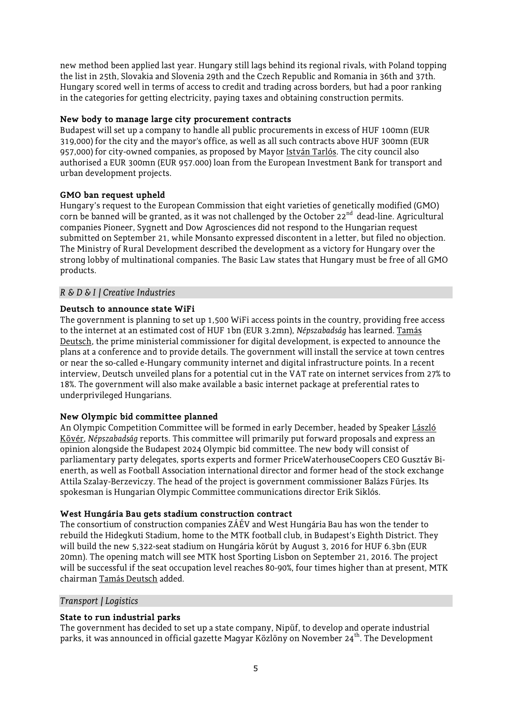new method been applied last year. Hungary still lags behind its regional rivals, with Poland topping the list in 25th, Slovakia and Slovenia 29th and the Czech Republic and Romania in 36th and 37th. Hungary scored well in terms of access to credit and trading across borders, but had a poor ranking in the categories for getting electricity, paying taxes and obtaining construction permits.

# **New body to manage large city procurement contracts**

Budapest will set up a company to handle all public procurements in excess of HUF 100mn (EUR 319,000) for the city and the mayor's office, as well as all such contracts above HUF 300mn (EUR 957,000) for city-owned companies, as proposed by Mayor István Tarlós. The city council also authorised a EUR 300mn (EUR 957.000) loan from the European Investment Bank for transport and urban development projects.

# **GMO ban request upheld**

Hungary's request to the European Commission that eight varieties of genetically modified (GMO) corn be banned will be granted, as it was not challenged by the October 22<sup>nd</sup> dead-line. Agricultural companies Pioneer, Sygnett and Dow Agrosciences did not respond to the Hungarian request submitted on September 21, while Monsanto expressed discontent in a letter, but filed no objection. The Ministry of Rural Development described the development as a victory for Hungary over the strong lobby of multinational companies. The Basic Law states that Hungary must be free of all GMO products.

# *R & D & I / Creative Industries*

# **Deutsch to announce state WiFi**

The government is planning to set up 1,500 WiFi access points in the country, providing free access to the internet at an estimated cost of HUF 1bn (EUR 3.2mn), *Népszabadság* has learned. Tamás Deutsch, the prime ministerial commissioner for digital development, is expected to announce the plans at a conference and to provide details. The government will install the service at town centres or near the so-called e-Hungary community internet and digital infrastructure points. In a recent interview, Deutsch unveiled plans for a potential cut in the VAT rate on internet services from 27% to 18%. The government will also make available a basic internet package at preferential rates to underprivileged Hungarians.

## **New Olympic bid committee planned**

An Olympic Competition Committee will be formed in early December, headed by Speaker László Kövér, *Népszabadság* reports. This committee will primarily put forward proposals and express an opinion alongside the Budapest 2024 Olympic bid committee. The new body will consist of parliamentary party delegates, sports experts and former PriceWaterhouseCoopers CEO Gusztáv Bienerth, as well as Football Association international director and former head of the stock exchange Attila Szalay-Berzeviczy. The head of the project is government commissioner Balázs Fürjes. Its spokesman is Hungarian Olympic Committee communications director Erik Siklós.

## **West Hungária Bau gets stadium construction contract**

The consortium of construction companies ZÁÉV and West Hungária Bau has won the tender to rebuild the Hidegkuti Stadium, home to the MTK football club, in Budapest's Eighth District. They will build the new 5,322-seat stadium on Hungária körút by August 3, 2016 for HUF 6.3bn (EUR 20mn). The opening match will see MTK host Sporting Lisbon on September 21, 2016. The project will be successful if the seat occupation level reaches 80-90%, four times higher than at present, MTK chairman Tamás Deutsch added.

## *Transport / Logistics*

# **State to run industrial parks**

The government has decided to set up a state company, Nipüf, to develop and operate industrial parks, it was announced in official gazette Magyar Közlöny on November 24<sup>th</sup>. The Development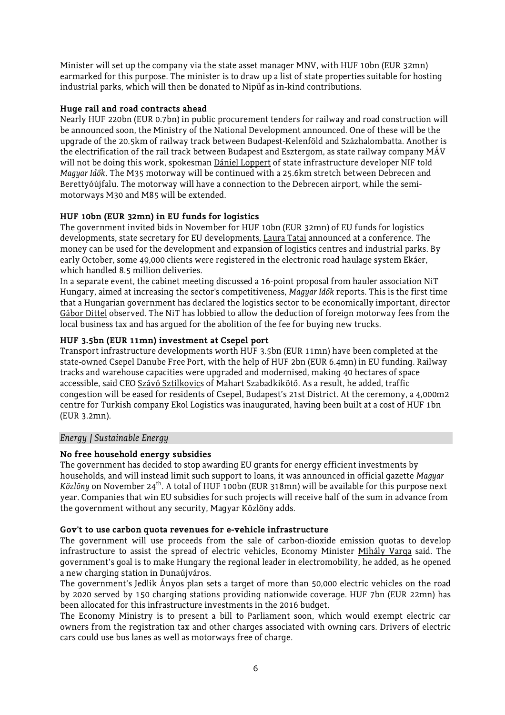Minister will set up the company via the state asset manager MNV, with HUF 10bn (EUR 32mn) earmarked for this purpose. The minister is to draw up a list of state properties suitable for hosting industrial parks, which will then be donated to Nipüf as in-kind contributions.

#### **Huge rail and road contracts ahead**

Nearly HUF 220bn (EUR 0.7bn) in public procurement tenders for railway and road construction will be announced soon, the Ministry of the National Development announced. One of these will be the upgrade of the 20.5km of railway track between Budapest-Kelenföld and Százhalombatta. Another is the electrification of the rail track between Budapest and Esztergom, as state railway company MÁV will not be doing this work, spokesman Dániel Loppert of state infrastructure developer NIF told *Magyar Idők*. The M35 motorway will be continued with a 25.6km stretch between Debrecen and Berettyóújfalu. The motorway will have a connection to the Debrecen airport, while the semimotorways M30 and M85 will be extended.

## **HUF 10bn (EUR 32mn) in EU funds for logistics**

The government invited bids in November for HUF 10bn (EUR 32mn) of EU funds for logistics developments, state secretary for EU developments, Laura Tatai announced at a conference. The money can be used for the development and expansion of logistics centres and industrial parks. By early October, some 49,000 clients were registered in the electronic road haulage system Ekáer, which handled 8.5 million deliveries.

In a separate event, the cabinet meeting discussed a 16-point proposal from hauler association NiT Hungary, aimed at increasing the sector's competitiveness, *Magyar Idők* reports. This is the first time that a Hungarian government has declared the logistics sector to be economically important, director Gábor Dittel observed. The NiT has lobbied to allow the deduction of foreign motorway fees from the local business tax and has argued for the abolition of the fee for buying new trucks.

## **HUF 3.5bn (EUR 11mn) investment at Csepel port**

Transport infrastructure developments worth HUF 3.5bn (EUR 11mn) have been completed at the state-owned Csepel Danube Free Port, with the help of HUF 2bn (EUR 6.4mn) in EU funding. Railway tracks and warehouse capacities were upgraded and modernised, making 40 hectares of space accessible, said CEO Szávó Sztilkovics of Mahart Szabadkikötő. As a result, he added, traffic congestion will be eased for residents of Csepel, Budapest's 21st District. At the ceremony, a 4,000m2 centre for Turkish company Ekol Logistics was inaugurated, having been built at a cost of HUF 1bn (EUR 3.2mn).

## *Energy / Sustainable Energy*

## **No free household energy subsidies**

The government has decided to stop awarding EU grants for energy efficient investments by households, and will instead limit such support to loans, it was announced in official gazette *Magyar Közlöny* on November 24<sup>th</sup>. A total of HUF 100bn (EUR 318mn) will be available for this purpose next year. Companies that win EU subsidies for such projects will receive half of the sum in advance from the government without any security, Magyar Közlöny adds.

## **Gov't to use carbon quota revenues for e-vehicle infrastructure**

The government will use proceeds from the sale of carbon-dioxide emission quotas to develop infrastructure to assist the spread of electric vehicles, Economy Minister Mihály Varga said. The government's goal is to make Hungary the regional leader in electromobility, he added, as he opened a new charging station in Dunaújváros.

The government's Jedlik Ányos plan sets a target of more than 50,000 electric vehicles on the road by 2020 served by 150 charging stations providing nationwide coverage. HUF 7bn (EUR 22mn) has been allocated for this infrastructure investments in the 2016 budget.

The Economy Ministry is to present a bill to Parliament soon, which would exempt electric car owners from the registration tax and other charges associated with owning cars. Drivers of electric cars could use bus lanes as well as motorways free of charge.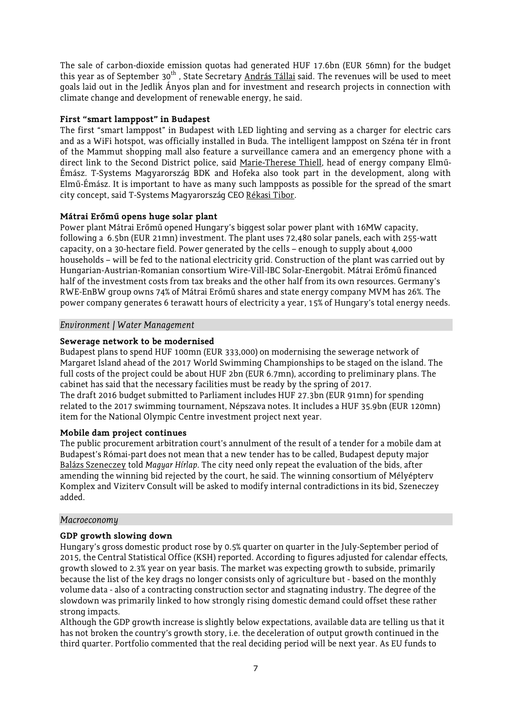The sale of carbon-dioxide emission quotas had generated HUF 17.6bn (EUR 56mn) for the budget this year as of September 30<sup>th</sup>, State Secretary András Tállai said. The revenues will be used to meet goals laid out in the Jedlik Ányos plan and for investment and research projects in connection with climate change and development of renewable energy, he said.

## **First "smart lamppost" in Budapest**

The first "smart lamppost" in Budapest with LED lighting and serving as a charger for electric cars and as a WiFi hotspot, was officially installed in Buda. The intelligent lamppost on Széna tér in front of the Mammut shopping mall also feature a surveillance camera and an emergency phone with a direct link to the Second District police, said Marie-Therese Thiell, head of energy company Elmű-Émász. T-Systems Magyarország BDK and Hofeka also took part in the development, along with Elmű-Émász. It is important to have as many such lampposts as possible for the spread of the smart city concept, said T-Systems Magyarország CEO Rékasi Tibor.

# **Mátrai Erőmű opens huge solar plant**

Power plant Mátrai Erőmű opened Hungary's biggest solar power plant with 16MW capacity, following a 6.5bn (EUR 21mn) investment. The plant uses 72,480 solar panels, each with 255-watt capacity, on a 30-hectare field. Power generated by the cells – enough to supply about 4,000 households – will be fed to the national electricity grid. Construction of the plant was carried out by Hungarian-Austrian-Romanian consortium Wire-Vill-IBC Solar-Energobit. Mátrai Erőmű financed half of the investment costs from tax breaks and the other half from its own resources. Germany's RWE-EnBW group owns 74% of Mátrai Erőmű shares and state energy company MVM has 26%. The power company generates 6 terawatt hours of electricity a year, 15% of Hungary's total energy needs.

## *Environment / Water Management*

# **Sewerage network to be modernised**

Budapest plans to spend HUF 100mn (EUR 333,000) on modernising the sewerage network of Margaret Island ahead of the 2017 World Swimming Championships to be staged on the island. The full costs of the project could be about HUF 2bn (EUR 6.7mn), according to preliminary plans. The cabinet has said that the necessary facilities must be ready by the spring of 2017. The draft 2016 budget submitted to Parliament includes HUF 27.3bn (EUR 91mn) for spending related to the 2017 swimming tournament, Népszava notes. It includes a HUF 35.9bn (EUR 120mn) item for the National Olympic Centre investment project next year.

## **Mobile dam project continues**

The public procurement arbitration court's annulment of the result of a tender for a mobile dam at Budapest's Római-part does not mean that a new tender has to be called, Budapest deputy major Balázs Szeneczey told *Magyar Hírlap*. The city need only repeat the evaluation of the bids, after amending the winning bid rejected by the court, he said. The winning consortium of Mélyépterv Komplex and Viziterv Consult will be asked to modify internal contradictions in its bid, Szeneczey added.

## *Macroeconomy*

## **GDP growth slowing down**

Hungary's gross domestic product rose by 0.5% quarter on quarter in the July-September period of 2015, the Central Statistical Office (KSH) reported. According to figures adjusted for calendar effects, growth slowed to 2.3% year on year basis. The market was expecting growth to subside, primarily because the list of the key drags no longer consists only of agriculture but - based on the monthly volume data - also of a contracting construction sector and stagnating industry. The degree of the slowdown was primarily linked to how strongly rising domestic demand could offset these rather strong impacts.

Although the GDP growth increase is slightly below expectations, available data are telling us that it has not broken the country's growth story, i.e. the deceleration of output growth continued in the third quarter. Portfolio commented that the real deciding period will be next year. As EU funds to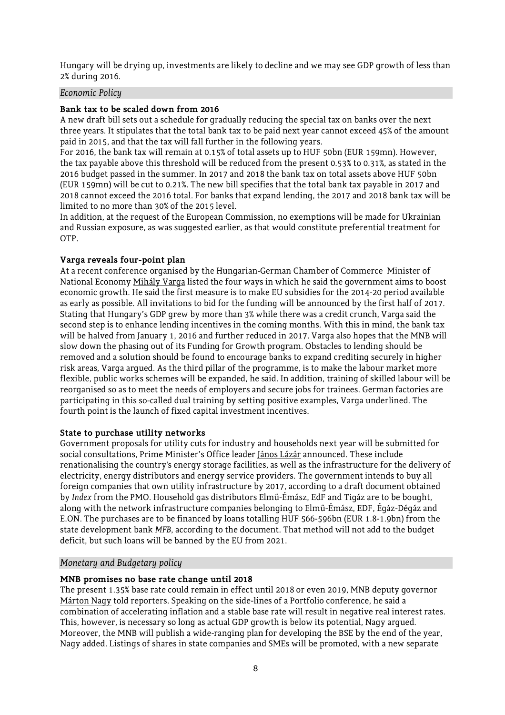Hungary will be drying up, investments are likely to decline and we may see GDP growth of less than 2% during 2016.

#### *Economic Policy*

#### **Bank tax to be scaled down from 2016**

A new draft bill sets out a schedule for gradually reducing the special tax on banks over the next three years. It stipulates that the total bank tax to be paid next year cannot exceed 45% of the amount paid in 2015, and that the tax will fall further in the following years.

For 2016, the bank tax will remain at 0.15% of total assets up to HUF 50bn (EUR 159mn). However, the tax payable above this threshold will be reduced from the present 0.53% to 0.31%, as stated in the 2016 budget passed in the summer. In 2017 and 2018 the bank tax on total assets above HUF 50bn (EUR 159mn) will be cut to 0.21%. The new bill specifies that the total bank tax payable in 2017 and 2018 cannot exceed the 2016 total. For banks that expand lending, the 2017 and 2018 bank tax will be limited to no more than 30% of the 2015 level.

In addition, at the request of the European Commission, no exemptions will be made for Ukrainian and Russian exposure, as was suggested earlier, as that would constitute preferential treatment for OTP.

## **Varga reveals four-point plan**

At a recent conference organised by the Hungarian-German Chamber of Commerce Minister of National Economy Mihály Varga listed the four ways in which he said the government aims to boost economic growth. He said the first measure is to make EU subsidies for the 2014-20 period available as early as possible. All invitations to bid for the funding will be announced by the first half of 2017. Stating that Hungary's GDP grew by more than 3% while there was a credit crunch, Varga said the second step is to enhance lending incentives in the coming months. With this in mind, the bank tax will be halved from January 1, 2016 and further reduced in 2017. Varga also hopes that the MNB will slow down the phasing out of its Funding for Growth program. Obstacles to lending should be removed and a solution should be found to encourage banks to expand crediting securely in higher risk areas, Varga argued. As the third pillar of the programme, is to make the labour market more flexible, public works schemes will be expanded, he said. In addition, training of skilled labour will be reorganised so as to meet the needs of employers and secure jobs for trainees. German factories are participating in this so-called dual training by setting positive examples, Varga underlined. The fourth point is the launch of fixed capital investment incentives.

#### **State to purchase utility networks**

Government proposals for utility cuts for industry and households next year will be submitted for social consultations, Prime Minister's Office leader János Lázár announced. These include renationalising the country's energy storage facilities, as well as the infrastructure for the delivery of electricity, energy distributors and energy service providers. The government intends to buy all foreign companies that own utility infrastructure by 2017, according to a draft document obtained by *Index* from the PMO. Household gas distributors Elmű-Émász, EdF and Tigáz are to be bought, along with the network infrastructure companies belonging to Elmű-Émász, EDF, Égáz-Dégáz and E.ON. The purchases are to be financed by loans totalling HUF 566-596bn (EUR 1.8-1.9bn) from the state development bank *MFB*, according to the document. That method will not add to the budget deficit, but such loans will be banned by the EU from 2021.

#### *Monetary and Budgetary policy*

## **MNB promises no base rate change until 2018**

The present 1.35% base rate could remain in effect until 2018 or even 2019, MNB deputy governor Márton Nagy told reporters. Speaking on the side-lines of a Portfolio conference, he said a combination of accelerating inflation and a stable base rate will result in negative real interest rates. This, however, is necessary so long as actual GDP growth is below its potential, Nagy argued. Moreover, the MNB will publish a wide-ranging plan for developing the BSE by the end of the year, Nagy added. Listings of shares in state companies and SMEs will be promoted, with a new separate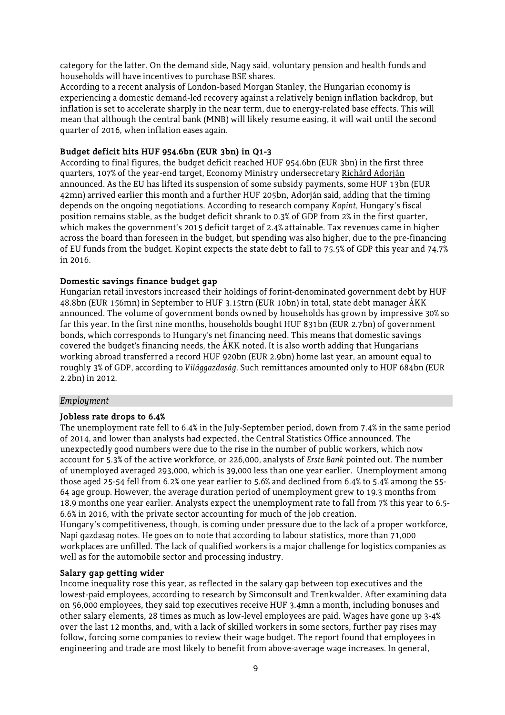category for the latter. On the demand side, Nagy said, voluntary pension and health funds and households will have incentives to purchase BSE shares.

According to a recent analysis of London-based Morgan Stanley, the Hungarian economy is experiencing a domestic demand-led recovery against a relatively benign inflation backdrop, but inflation is set to accelerate sharply in the near term, due to energy-related base effects. This will mean that although the central bank (MNB) will likely resume easing, it will wait until the second quarter of 2016, when inflation eases again.

#### **Budget deficit hits HUF 954.6bn (EUR 3bn) in Q1-3**

According to final figures, the budget deficit reached HUF 954.6bn (EUR 3bn) in the first three quarters, 107% of the year-end target, Economy Ministry undersecretary Richárd Adorján announced. As the EU has lifted its suspension of some subsidy payments, some HUF 13bn (EUR 42mn) arrived earlier this month and a further HUF 205bn, Adorján said, adding that the timing depends on the ongoing negotiations. According to research company *Kopint*, Hungary's fiscal position remains stable, as the budget deficit shrank to 0.3% of GDP from 2% in the first quarter, which makes the government's 2015 deficit target of 2.4% attainable. Tax revenues came in higher across the board than foreseen in the budget, but spending was also higher, due to the pre-financing of EU funds from the budget. Kopint expects the state debt to fall to 75.5% of GDP this year and 74.7% in 2016.

#### **Domestic savings finance budget gap**

Hungarian retail investors increased their holdings of forint-denominated government debt by HUF 48.8bn (EUR 156mn) in September to HUF 3.15trn (EUR 10bn) in total, state debt manager ÁKK announced. The volume of government bonds owned by households has grown by impressive 30% so far this year. In the first nine months, households bought HUF 831bn (EUR 2.7bn) of government bonds, which corresponds to Hungary's net financing need. This means that domestic savings covered the budget's financing needs, the ÁKK noted. It is also worth adding that Hungarians working abroad transferred a record HUF 920bn (EUR 2.9bn) home last year, an amount equal to roughly 3% of GDP, according to *Világgazdaság*. Such remittances amounted only to HUF 684bn (EUR 2.2bn) in 2012.

#### *Employment*

#### **Jobless rate drops to 6.4%**

The unemployment rate fell to 6.4% in the July-September period, down from 7.4% in the same period of 2014, and lower than analysts had expected, the Central Statistics Office announced. The unexpectedly good numbers were due to the rise in the number of public workers, which now account for 5.3% of the active workforce, or 226,000, analysts of *Erste Bank* pointed out. The number of unemployed averaged 293,000, which is 39,000 less than one year earlier. Unemployment among those aged 25-54 fell from 6.2% one year earlier to 5.6% and declined from 6.4% to 5.4% among the 55- 64 age group. However, the average duration period of unemployment grew to 19.3 months from 18.9 months one year earlier. Analysts expect the unemployment rate to fall from 7% this year to 6.5- 6.6% in 2016, with the private sector accounting for much of the job creation.

Hungary's competitiveness, though, is coming under pressure due to the lack of a proper workforce, Napi gazdasag notes. He goes on to note that according to labour statistics, more than 71,000 workplaces are unfilled. The lack of qualified workers is a major challenge for logistics companies as well as for the automobile sector and processing industry.

## **Salary gap getting wider**

Income inequality rose this year, as reflected in the salary gap between top executives and the lowest-paid employees, according to research by Simconsult and Trenkwalder. After examining data on 56,000 employees, they said top executives receive HUF 3.4mn a month, including bonuses and other salary elements, 28 times as much as low-level employees are paid. Wages have gone up 3-4% over the last 12 months, and, with a lack of skilled workers in some sectors, further pay rises may follow, forcing some companies to review their wage budget. The report found that employees in engineering and trade are most likely to benefit from above-average wage increases. In general,